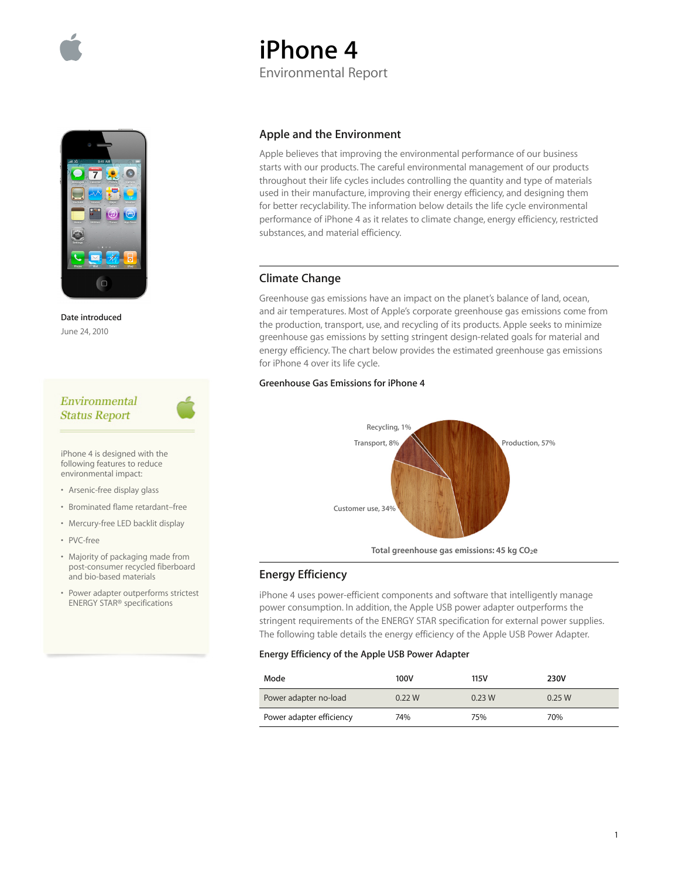# **iPhone 4** Environmental Report



**Date introduced** June 24, 2010

## Environmental **Status Report**

iPhone 4 is designed with the following features to reduce environmental impact:

- Arsenic-free display glass
- Brominated flame retardant–free
- Mercury-free LED backlit display
- PVC-free
- Majority of packaging made from post-consumer recycled fiberboard and bio-based materials
- Power adapter outperforms strictest ENERGY STAR® specifications

## **Apple and the Environment**

Apple believes that improving the environmental performance of our business starts with our products. The careful environmental management of our products throughout their life cycles includes controlling the quantity and type of materials used in their manufacture, improving their energy efficiency, and designing them for better recyclability. The information below details the life cycle environmental performance of iPhone 4 as it relates to climate change, energy efficiency, restricted substances, and material efficiency.

## **Climate Change**

Greenhouse gas emissions have an impact on the planet's balance of land, ocean, and air temperatures. Most of Apple's corporate greenhouse gas emissions come from the production, transport, use, and recycling of its products. Apple seeks to minimize greenhouse gas emissions by setting stringent design-related goals for material and energy efficiency. The chart below provides the estimated greenhouse gas emissions for iPhone 4 over its life cycle.

#### **Greenhouse Gas Emissions for iPhone 4**



## **Energy Efficiency**

iPhone 4 uses power-efficient components and software that intelligently manage power consumption. In addition, the Apple USB power adapter outperforms the stringent requirements of the ENERGY STAR specification for external power supplies. The following table details the energy efficiency of the Apple USB Power Adapter.

### **Energy Efficiency of the Apple USB Power Adapter**

| Mode                     | 100V   | 115V   | 230V   |
|--------------------------|--------|--------|--------|
| Power adapter no-load    | 0.22 W | 0.23 W | 0.25 W |
| Power adapter efficiency | 74%    | 75%    | 70%    |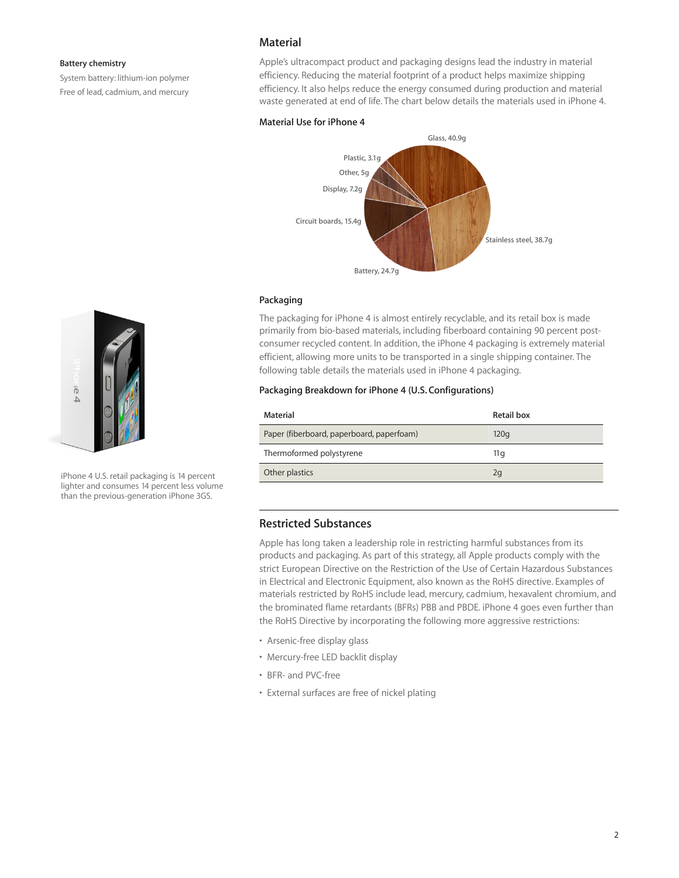#### **Battery chemistry**

System battery: lithium-ion polymer Free of lead, cadmium, and mercury

## **Material**

Apple's ultracompact product and packaging designs lead the industry in material efficiency. Reducing the material footprint of a product helps maximize shipping efficiency. It also helps reduce the energy consumed during production and material waste generated at end of life. The chart below details the materials used in iPhone 4.

#### **Material Use for iPhone 4**



#### **Packaging**

The packaging for iPhone 4 is almost entirely recyclable, and its retail box is made primarily from bio-based materials, including fiberboard containing 90 percent postconsumer recycled content. In addition, the iPhone 4 packaging is extremely material efficient, allowing more units to be transported in a single shipping container. The following table details the materials used in iPhone 4 packaging.

#### **Packaging Breakdown for iPhone 4 (U.S. Configurations)**

| Material                                  | Retail box |
|-------------------------------------------|------------|
| Paper (fiberboard, paperboard, paperfoam) | 120q       |
| Thermoformed polystyrene                  | 11 g       |
| Other plastics                            | 2g         |
|                                           |            |

## **Restricted Substances**

Apple has long taken a leadership role in restricting harmful substances from its products and packaging. As part of this strategy, all Apple products comply with the strict European Directive on the Restriction of the Use of Certain Hazardous Substances in Electrical and Electronic Equipment, also known as the RoHS directive. Examples of materials restricted by RoHS include lead, mercury, cadmium, hexavalent chromium, and the brominated flame retardants (BFRs) PBB and PBDE. iPhone 4 goes even further than the RoHS Directive by incorporating the following more aggressive restrictions:

- Arsenic-free display glass
- Mercury-free LED backlit display
- BFR- and PVC-free
- External surfaces are free of nickel plating



iPhone 4 U.S. retail packaging is 14 percent lighter and consumes 14 percent less volume than the previous-generation iPhone 3GS.